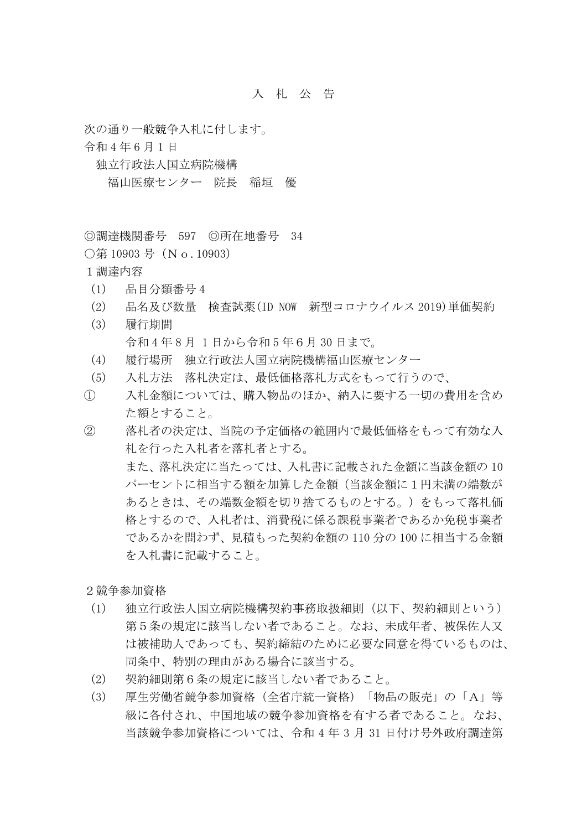## 入 札 公 告

次の通り一般競争入札に付します。

令和 4 年 6 月 1 日

独立行政法人国立病院機構

福山医療センター 院長 稲垣 優

◎調達機関番号 597 ◎所在地番号 34

○第10903号 (No.10903)

1調達内容

- (1) 品目分類番号 4
- (2) 品名及び数量 検査試薬(ID NOW 新型コロナウイルス 2019)単価契約
- (3) 履行期間 令和 4 年 8 月 1 日から令和 5 年6月 30 日まで。
- (4) 履行場所 独立行政法人国立病院機構福山医療センター
- (5) 入札方法 落札決定は、最低価格落札方式をもって行うので、
- ① 入札金額については、購入物品のほか、納入に要する一切の費用を含め た額とすること。
- ② 落札者の決定は、当院の予定価格の範囲内で最低価格をもって有効な入 札を行った入札者を落札者とする。 また、落札決定に当たっては、入札書に記載された金額に当該金額の 10 パーセントに相当する額を加算した金額(当該金額に1円未満の端数が あるときは、その端数金額を切り捨てるものとする。)をもって落札価 格とするので、入札者は、消費税に係る課税事業者であるか免税事業者 であるかを問わず、見積もった契約金額の 110 分の 100 に相当する金額 を入札書に記載すること。

2競争参加資格

- (1) 独立行政法人国立病院機構契約事務取扱細則(以下、契約細則という) 第5条の規定に該当しない者であること。なお、未成年者、被保佐人又 は被補助人であっても、契約締結のために必要な同意を得ているものは、 同条中、特別の理由がある場合に該当する。
- (2) 契約細則第6条の規定に該当しない者であること。
- (3) 厚生労働省競争参加資格(全省庁統一資格)「物品の販売」の「A」等 級に各付され、中国地域の競争参加資格を有する者であること。なお、 当該競争参加資格については、令和 4 年 3 月 31 日付け号外政府調達第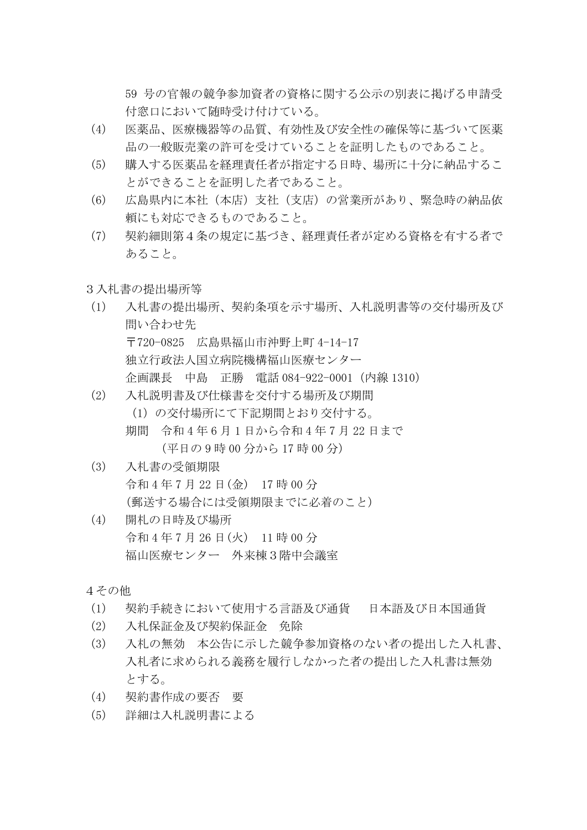59 号の官報の競争参加資者の資格に関する公示の別表に掲げる申請受 付窓口において随時受け付けている。

- (4) 医薬品、医療機器等の品質、有効性及び安全性の確保等に基づいて医薬 品の一般販売業の許可を受けていることを証明したものであること。
- (5) 購入する医薬品を経理責任者が指定する日時、場所に十分に納品するこ とができることを証明した者であること。
- (6) 広島県内に本社(本店)支社(支店)の営業所があり、緊急時の納品依 頼にも対応できるものであること。
- (7) 契約細則第4条の規定に基づき、経理責任者が定める資格を有する者で あること。
- 3入札書の提出場所等
- (1) 入札書の提出場所、契約条項を示す場所、入札説明書等の交付場所及び 問い合わせ先 〒720-0825 広島県福山市沖野上町 4-14-17 独立行政法人国立病院機構福山医療センター 企画課長 中島 正勝 電話 084-922-0001(内線 1310)
- (2) 入札説明書及び仕様書を交付する場所及び期間 (1)の交付場所にて下記期間とおり交付する。
	- 期間 令和 4 年 6 月 1 日から令和 4 年 7 月 22 日まで (平日の 9 時 00 分から 17 時 00 分)
- (3) 入札書の受領期限 令和 4 年 7 月 22 日(金) 17 時 00 分 (郵送する場合には受領期限までに必着のこと)
- (4) 開札の日時及び場所 令和 4 年 7 月 26 日(火) 11 時 00 分 福山医療センター 外来棟3階中会議室

4その他

- (1) 契約手続きにおいて使用する言語及び通貨 日本語及び日本国通貨
- (2) 入札保証金及び契約保証金 免除
- (3) 入札の無効 本公告に示した競争参加資格のない者の提出した入札書、 入札者に求められる義務を履行しなかった者の提出した入札書は無効 とする。
- (4) 契約書作成の要否 要
- (5) 詳細は入札説明書による